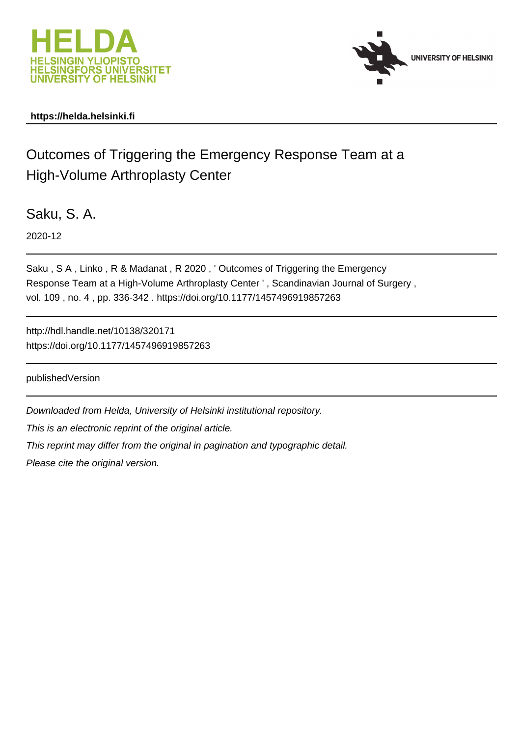



# **https://helda.helsinki.fi**

# Outcomes of Triggering the Emergency Response Team at a High-Volume Arthroplasty Center

Saku, S. A.

2020-12

Saku , S A , Linko , R & Madanat , R 2020 , ' Outcomes of Triggering the Emergency Response Team at a High-Volume Arthroplasty Center ' , Scandinavian Journal of Surgery , vol. 109 , no. 4 , pp. 336-342 . https://doi.org/10.1177/1457496919857263

http://hdl.handle.net/10138/320171 https://doi.org/10.1177/1457496919857263

publishedVersion

Downloaded from Helda, University of Helsinki institutional repository. This is an electronic reprint of the original article. This reprint may differ from the original in pagination and typographic detail. Please cite the original version.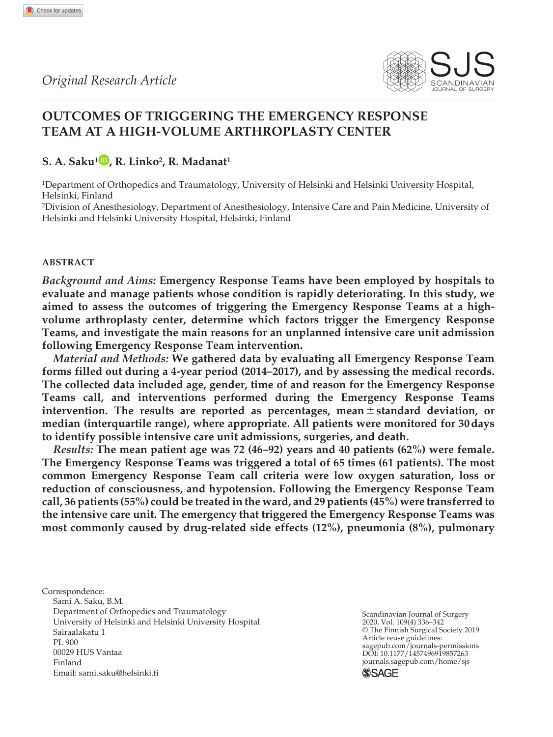

# **Outcomes of Triggering the Emergency Response Team at a High-Volume Arthroplasty Center**

# **S. A. Saku1 , R. Linko2, R. Madanat1**

1Department of Orthopedics and Traumatology, University of Helsinki and Helsinki University Hospital, Helsinki, Finland

2Division of Anesthesiology, Department of Anesthesiology, Intensive Care and Pain Medicine, University of Helsinki and Helsinki University Hospital, Helsinki, Finland

# **Abstract**

*Background and Aims:* **Emergency Response Teams have been employed by hospitals to evaluate and manage patients whose condition is rapidly deteriorating. In this study, we aimed to assess the outcomes of triggering the Emergency Response Teams at a highvolume arthroplasty center, determine which factors trigger the Emergency Response Teams, and investigate the main reasons for an unplanned intensive care unit admission following Emergency Response Team intervention.**

*Material and Methods:* **We gathered data by evaluating all Emergency Response Team forms filled out during a 4-year period (2014–2017), and by assessing the medical records. The collected data included age, gender, time of and reason for the Emergency Response Teams call, and interventions performed during the Emergency Response Teams intervention. The results are reported as percentages, mean**±**standard deviation, or median (interquartile range), where appropriate. All patients were monitored for 30days to identify possible intensive care unit admissions, surgeries, and death.**

*Results:* **The mean patient age was 72 (46–92) years and 40 patients (62%) were female. The Emergency Response Teams was triggered a total of 65 times (61 patients). The most common Emergency Response Team call criteria were low oxygen saturation, loss or reduction of consciousness, and hypotension. Following the Emergency Response Team call, 36 patients (55%) could be treated in the ward, and 29 patients (45%) were transferred to the intensive care unit. The emergency that triggered the Emergency Response Teams was most commonly caused by drug-related side effects (12%), pneumonia (8%), pulmonary** 

Correspondence: Sami A. Saku, B.M. Department of Orthopedics and Traumatology University of Helsinki and Helsinki University Hospital Sairaalakatu 1 PL 900 00029 HUS Vantaa Finland Email: [sami.saku@helsinki.fi](mailto:sami.saku@helsinki.fi)

Scandinavian Journal of Surgery 2020, Vol. 109(4) 336–342 © The Finnish Surgical Society 2019 Article reuse guidelines: [sagepub.com/journals-permissions](https://uk.sagepub.com/en-gb/journals-permissions)<br>DOI: 10.1177/1457496919857263 DOI: 10.1177/1457496919857263 [journals.sagepub.com/home/sjs](https://journals.sagepub.com/home/sjs) **SSAGE**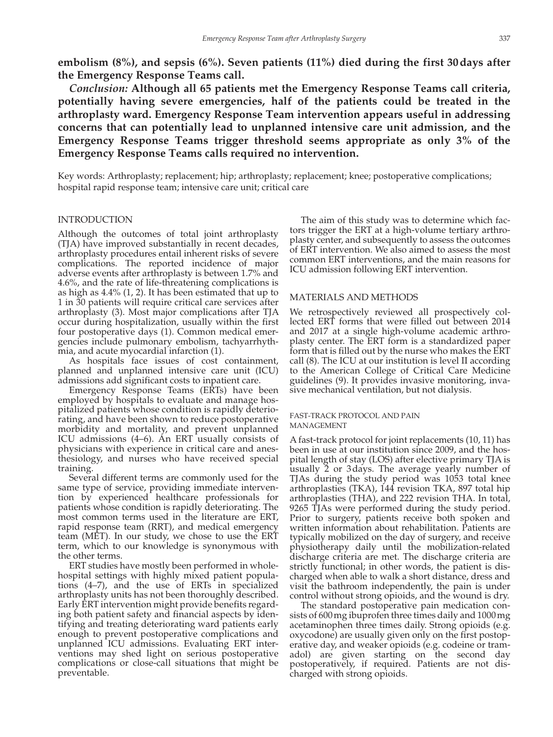**embolism (8%), and sepsis (6%). Seven patients (11%) died during the first 30days after the Emergency Response Teams call.**

*Conclusion:* **Although all 65 patients met the Emergency Response Teams call criteria, potentially having severe emergencies, half of the patients could be treated in the arthroplasty ward. Emergency Response Team intervention appears useful in addressing concerns that can potentially lead to unplanned intensive care unit admission, and the Emergency Response Teams trigger threshold seems appropriate as only 3% of the Emergency Response Teams calls required no intervention.**

Key words: Arthroplasty; replacement; hip; arthroplasty; replacement; knee; postoperative complications; hospital rapid response team; intensive care unit; critical care

# **INTRODUCTION**

Although the outcomes of total joint arthroplasty (TJA) have improved substantially in recent decades, arthroplasty procedures entail inherent risks of severe complications. The reported incidence of major adverse events after arthroplasty is between 1.7% and 4.6%, and the rate of life-threatening complications is as high as 4.4% (1, 2). It has been estimated that up to 1 in 30 patients will require critical care services after arthroplasty (3). Most major complications after TJA occur during hospitalization, usually within the first four postoperative days (1). Common medical emergencies include pulmonary embolism, tachyarrhythmia, and acute myocardial infarction (1).

As hospitals face issues of cost containment, planned and unplanned intensive care unit (ICU) admissions add significant costs to inpatient care.

Emergency Response Teams (ERTs) have been employed by hospitals to evaluate and manage hospitalized patients whose condition is rapidly deteriorating, and have been shown to reduce postoperative morbidity and mortality, and prevent unplanned ICU admissions (4–6). An ERT usually consists of physicians with experience in critical care and anesthesiology, and nurses who have received special training.

Several different terms are commonly used for the same type of service, providing immediate intervention by experienced healthcare professionals for patients whose condition is rapidly deteriorating. The most common terms used in the literature are ERT, rapid response team (RRT), and medical emergency team (MET). In our study, we chose to use the ERT term, which to our knowledge is synonymous with the other terms.

ERT studies have mostly been performed in wholehospital settings with highly mixed patient populations (4–7), and the use of ERTs in specialized arthroplasty units has not been thoroughly described. Early ERT intervention might provide benefits regarding both patient safety and financial aspects by identifying and treating deteriorating ward patients early enough to prevent postoperative complications and unplanned ICU admissions. Evaluating ERT interventions may shed light on serious postoperative complications or close-call situations that might be preventable.

The aim of this study was to determine which factors trigger the ERT at a high-volume tertiary arthroplasty center, and subsequently to assess the outcomes of ERT intervention. We also aimed to assess the most common ERT interventions, and the main reasons for ICU admission following ERT intervention.

# Materials and Methods

We retrospectively reviewed all prospectively collected ERT forms that were filled out between 2014 and 2017 at a single high-volume academic arthroplasty center. The ERT form is a standardized paper form that is filled out by the nurse who makes the ERT call (8). The ICU at our institution is level II according to the American College of Critical Care Medicine guidelines (9). It provides invasive monitoring, invasive mechanical ventilation, but not dialysis.

# Fast-Track Protocol and Pain **MANAGEMENT**

A fast-track protocol for joint replacements (10, 11) has been in use at our institution since 2009, and the hospital length of stay (LOS) after elective primary TJA is usually 2 or 3days. The average yearly number of TJAs during the study period was 1053 total knee arthroplasties (TKA), 144 revision TKA, 897 total hip arthroplasties (THA), and 222 revision THA. In total, 9265 TJAs were performed during the study period. Prior to surgery, patients receive both spoken and written information about rehabilitation. Patients are typically mobilized on the day of surgery, and receive physiotherapy daily until the mobilization-related discharge criteria are met. The discharge criteria are strictly functional; in other words, the patient is discharged when able to walk a short distance, dress and visit the bathroom independently, the pain is under control without strong opioids, and the wound is dry.

The standard postoperative pain medication consists of 600mg ibuprofen three times daily and 1000mg acetaminophen three times daily. Strong opioids (e.g. oxycodone) are usually given only on the first postoperative day, and weaker opioids (e.g. codeine or tramadol) are given starting on the second day postoperatively, if required. Patients are not discharged with strong opioids.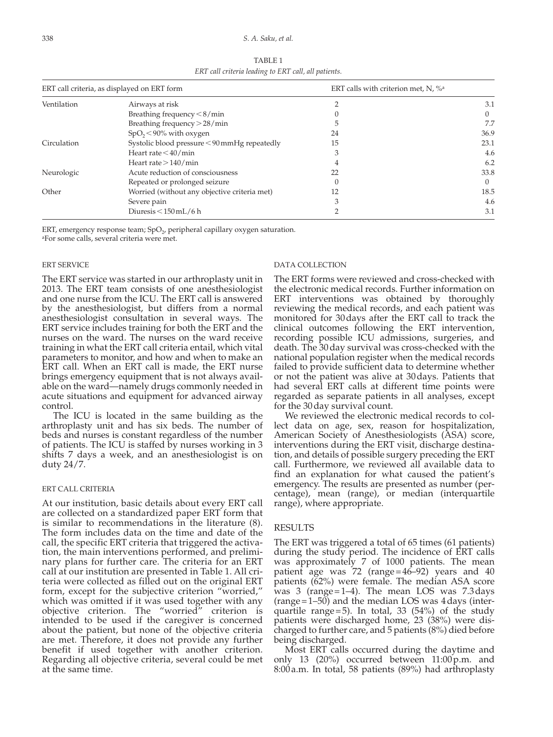#### 338 *S. A. Saku, et al.*

| TABLE 1                                              |
|------------------------------------------------------|
| ERT call criteria leading to ERT call, all patients. |

| ERT call criteria, as displayed on ERT form |                                              | ERT calls with criterion met, N, $\%$ <sup>a</sup> |          |
|---------------------------------------------|----------------------------------------------|----------------------------------------------------|----------|
| Ventilation                                 | Airways at risk                              |                                                    | 3.1      |
|                                             | Breathing frequency $\leq 8/\text{min}$      |                                                    | $\Omega$ |
|                                             | Breathing frequency $> 28/min$               |                                                    | 7.7      |
|                                             | $SpO_2$ < 90% with oxygen                    | 24                                                 | 36.9     |
| Circulation                                 | Systolic blood pressure <90mmHg repeatedly   | 15                                                 | 23.1     |
|                                             | Heart rate $<$ 40/min                        | 3                                                  | 4.6      |
|                                             | Heart rate $>140/m$ in                       |                                                    | 6.2      |
| Neurologic                                  | Acute reduction of consciousness             | 22                                                 | 33.8     |
|                                             | Repeated or prolonged seizure                |                                                    | $\Omega$ |
| Other                                       | Worried (without any objective criteria met) | 12                                                 | 18.5     |
|                                             | Severe pain                                  | 3                                                  | 4.6      |
|                                             | Diuresis $<$ 150 mL/6 h                      |                                                    | 3.1      |

ERT, emergency response team; SpO<sub>2</sub>, peripheral capillary oxygen saturation.

aFor some calls, several criteria were met.

# ERT Service

The ERT service was started in our arthroplasty unit in 2013. The ERT team consists of one anesthesiologist and one nurse from the ICU. The ERT call is answered by the anesthesiologist, but differs from a normal anesthesiologist consultation in several ways. The ERT service includes training for both the ERT and the nurses on the ward. The nurses on the ward receive training in what the ERT call criteria entail, which vital parameters to monitor, and how and when to make an ERT call. When an ERT call is made, the ERT nurse brings emergency equipment that is not always available on the ward—namely drugs commonly needed in acute situations and equipment for advanced airway control.

The ICU is located in the same building as the arthroplasty unit and has six beds. The number of beds and nurses is constant regardless of the number of patients. The ICU is staffed by nurses working in 3 shifts 7 days a week, and an anesthesiologist is on duty 24/7.

# ERT Call Criteria

At our institution, basic details about every ERT call are collected on a standardized paper ERT form that is similar to recommendations in the literature (8). The form includes data on the time and date of the call, the specific ERT criteria that triggered the activation, the main interventions performed, and preliminary plans for further care. The criteria for an ERT call at our institution are presented in Table 1. All criteria were collected as filled out on the original ERT form, except for the subjective criterion "worried," which was omitted if it was used together with any objective criterion. The "worried" criterion is intended to be used if the caregiver is concerned about the patient, but none of the objective criteria are met. Therefore, it does not provide any further benefit if used together with another criterion. Regarding all objective criteria, several could be met at the same time.

# DATA COLLECTION

The ERT forms were reviewed and cross-checked with the electronic medical records. Further information on ERT interventions was obtained by thoroughly reviewing the medical records, and each patient was monitored for 30 days after the ERT call to track the clinical outcomes following the ERT intervention, recording possible ICU admissions, surgeries, and death. The 30day survival was cross-checked with the national population register when the medical records failed to provide sufficient data to determine whether or not the patient was alive at 30days. Patients that had several ERT calls at different time points were regarded as separate patients in all analyses, except for the 30day survival count.

We reviewed the electronic medical records to collect data on age, sex, reason for hospitalization, American Society of Anesthesiologists (ASA) score, interventions during the ERT visit, discharge destination, and details of possible surgery preceding the ERT call. Furthermore, we reviewed all available data to find an explanation for what caused the patient's emergency. The results are presented as number (percentage), mean (range), or median (interquartile range), where appropriate.

# **RESULTS**

The ERT was triggered a total of 65 times (61 patients) during the study period. The incidence of ERT calls was approximately 7 of 1000 patients. The mean patient age was 72 (range=46–92) years and 40 patients (62%) were female. The median ASA score was 3 (range=1–4). The mean LOS was 7.3days  $(range=1-50)$  and the median LOS was 4 days (interquartile range=5). In total, 33  $(54%)$  of the study patients were discharged home, 23 (38%) were discharged to further care, and 5 patients (8%) died before being discharged.

Most ERT calls occurred during the daytime and only 13 (20%) occurred between 11:00p.m. and 8:00a.m. In total, 58 patients (89%) had arthroplasty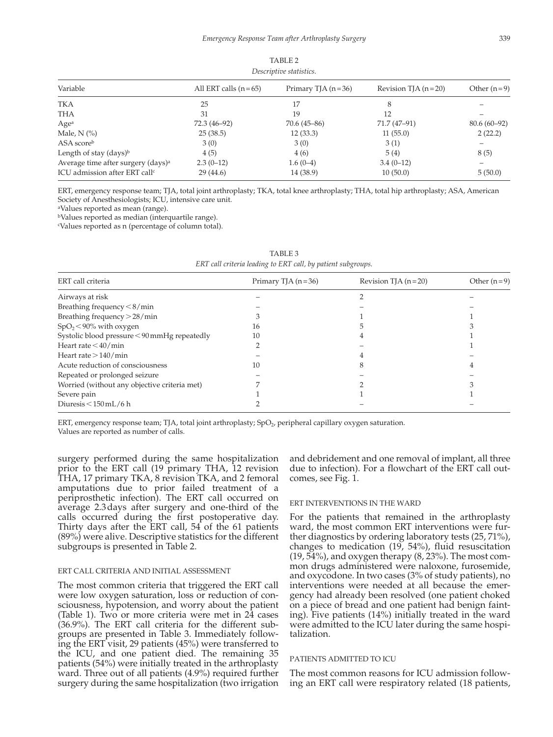| Variable                                       | All ERT calls $(n=65)$ | Primary TJA $(n=36)$ | Revision TJA $(n=20)$ | Other $(n=9)$ |
|------------------------------------------------|------------------------|----------------------|-----------------------|---------------|
| TKA                                            | 25                     | 17                   | 8                     |               |
| THA                                            | 31                     | 19                   | 12                    |               |
| Age <sup>a</sup>                               | 72.3 (46-92)           | $70.6(45 - 86)$      | 71.7 (47-91)          | $80.6(60-92)$ |
| Male, $N$ $\left(\% \right)$                   | 25(38.5)               | 12(33.3)             | 11(55.0)              | 2(22.2)       |
| ASA scoreb                                     | 3(0)                   | 3(0)                 | 3(1)                  |               |
| Length of stay $(days)^b$                      | 4(5)                   | 4(6)                 | 5(4)                  | 8 (5)         |
| Average time after surgery (days) <sup>a</sup> | $2.3(0-12)$            | $1.6(0-4)$           | $3.4(0-12)$           |               |
| ICU admission after ERT call <sup>c</sup>      | 29(44.6)               | 14 (38.9)            | 10(50.0)              | 5(50.0)       |

TABLE 2 *Descriptive statistics.*

ERT, emergency response team; TJA, total joint arthroplasty; TKA, total knee arthroplasty; THA, total hip arthroplasty; ASA, American Society of Anesthesiologists; ICU, intensive care unit.

aValues reported as mean (range).

bValues reported as median (interquartile range).

cValues reported as n (percentage of column total).

| LINE Can Cruteria teauing to LINE Can, by pattent subgroups. |                       |               |  |  |  |  |  |
|--------------------------------------------------------------|-----------------------|---------------|--|--|--|--|--|
| Primary TJA $(n=36)$                                         | Revision TJA $(n=20)$ | Other $(n=9)$ |  |  |  |  |  |
|                                                              |                       |               |  |  |  |  |  |
|                                                              |                       |               |  |  |  |  |  |
|                                                              |                       |               |  |  |  |  |  |
| 16                                                           |                       |               |  |  |  |  |  |
| 10                                                           |                       |               |  |  |  |  |  |
|                                                              |                       |               |  |  |  |  |  |
|                                                              |                       |               |  |  |  |  |  |
| 10                                                           |                       |               |  |  |  |  |  |
|                                                              |                       |               |  |  |  |  |  |
|                                                              |                       |               |  |  |  |  |  |
|                                                              |                       |               |  |  |  |  |  |
|                                                              |                       |               |  |  |  |  |  |
|                                                              |                       |               |  |  |  |  |  |

| TABLE 3                                                      |
|--------------------------------------------------------------|
| ERT call criteria leading to ERT call, by patient subgroups. |

ERT, emergency response team; TJA, total joint arthroplasty; SpO<sub>2</sub>, peripheral capillary oxygen saturation. Values are reported as number of calls.

surgery performed during the same hospitalization prior to the ERT call (19 primary THA, 12 revision THA, 17 primary TKA, 8 revision TKA, and 2 femoral amputations due to prior failed treatment of a periprosthetic infection). The ERT call occurred on average 2.3days after surgery and one-third of the calls occurred during the first postoperative day. Thirty days after the ERT call, 54 of the 61 patients (89%) were alive. Descriptive statistics for the different subgroups is presented in Table 2.

#### ERT Call Criteria and Initial Assessment

The most common criteria that triggered the ERT call were low oxygen saturation, loss or reduction of consciousness, hypotension, and worry about the patient (Table 1). Two or more criteria were met in 24 cases (36.9%). The ERT call criteria for the different subgroups are presented in Table 3. Immediately following the ERT visit, 29 patients (45%) were transferred to the ICU, and one patient died. The remaining 35 patients (54%) were initially treated in the arthroplasty ward. Three out of all patients (4.9%) required further surgery during the same hospitalization (two irrigation and debridement and one removal of implant, all three due to infection). For a flowchart of the ERT call outcomes, see Fig. 1.

#### ERT Interventions in the Ward

For the patients that remained in the arthroplasty ward, the most common ERT interventions were further diagnostics by ordering laboratory tests (25, 71%), changes to medication (19, 54%), fluid resuscitation  $(19, 54\%)$ , and oxygen therapy  $(8, 23\%)$ . The most common drugs administered were naloxone, furosemide, and oxycodone. In two cases (3% of study patients), no interventions were needed at all because the emergency had already been resolved (one patient choked on a piece of bread and one patient had benign fainting). Five patients (14%) initially treated in the ward were admitted to the ICU later during the same hospitalization.

# Patients Admitted to ICU

The most common reasons for ICU admission following an ERT call were respiratory related (18 patients,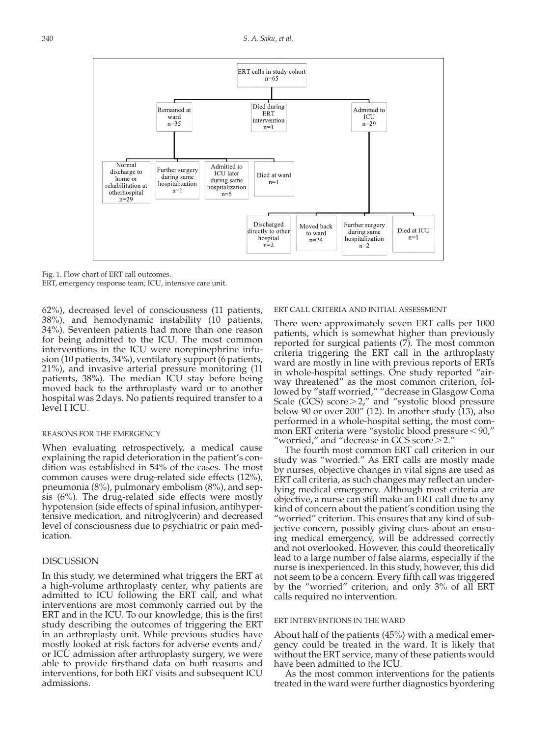

Fig. 1. Flow chart of ERT call outcomes.

ERT, emergency response team; ICU, intensive care unit.

62%), decreased level of consciousness (11 patients, 38%), and hemodynamic instability (10 patients, 34%). Seventeen patients had more than one reason for being admitted to the ICU. The most common interventions in the ICU were norepinephrine infusion (10 patients, 34%), ventilatory support (6 patients, 21%), and invasive arterial pressure monitoring (11 patients, 38%). The median ICU stay before being moved back to the arthroplasty ward or to another hospital was 2days. No patients required transfer to a level I ICU.

# Reasons for the Emergency

When evaluating retrospectively, a medical cause explaining the rapid deterioration in the patient's condition was established in 54% of the cases. The most common causes were drug-related side effects (12%), pneumonia (8%), pulmonary embolism (8%), and sepsis (6%). The drug-related side effects were mostly hypotension (side effects of spinal infusion, antihypertensive medication, and nitroglycerin) and decreased level of consciousness due to psychiatric or pain medication.

# **DISCUSSION**

In this study, we determined what triggers the ERT at a high-volume arthroplasty center, why patients are admitted to ICU following the ERT call, and what interventions are most commonly carried out by the ERT and in the ICU. To our knowledge, this is the first study describing the outcomes of triggering the ERT in an arthroplasty unit. While previous studies have mostly looked at risk factors for adverse events and/ or ICU admission after arthroplasty surgery, we were able to provide firsthand data on both reasons and interventions, for both ERT visits and subsequent ICU admissions.

### ERT Call Criteria and Initial Assessment

There were approximately seven ERT calls per 1000 patients, which is somewhat higher than previously reported for surgical patients (7). The most common criteria triggering the ERT call in the arthroplasty ward are mostly in line with previous reports of ERTs in whole-hospital settings. One study reported "airway threatened" as the most common criterion, followed by "staff worried," "decrease in Glasgow Coma Scale (GCS) score>2," and "systolic blood pressure below 90 or over 200" (12). In another study (13), also performed in a whole-hospital setting, the most common ERT criteria were "systolic blood pressure<90," "worried," and "decrease in GCS score  $>$  2."

The fourth most common ERT call criterion in our study was "worried." As ERT calls are mostly made by nurses, objective changes in vital signs are used as ERT call criteria, as such changes may reflect an underlying medical emergency. Although most criteria are objective, a nurse can still make an ERT call due to any kind of concern about the patient's condition using the "worried" criterion. This ensures that any kind of subjective concern, possibly giving clues about an ensuing medical emergency, will be addressed correctly and not overlooked. However, this could theoretically lead to a large number of false alarms, especially if the nurse is inexperienced. In this study, however, this did not seem to be a concern. Every fifth call was triggered by the "worried" criterion, and only 3% of all ERT calls required no intervention.

#### ERT Interventions in the Ward

About half of the patients (45%) with a medical emergency could be treated in the ward. It is likely that without the ERT service, many of these patients would have been admitted to the ICU.

As the most common interventions for the patients treated in the ward were further diagnostics byordering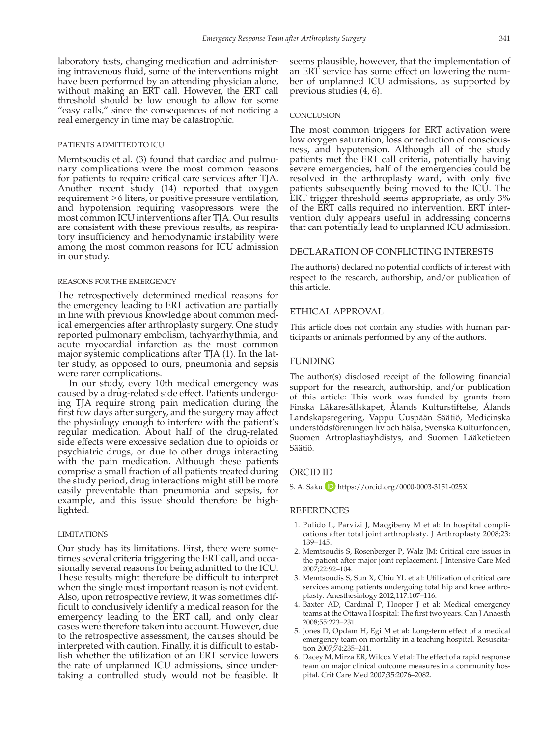laboratory tests, changing medication and administering intravenous fluid, some of the interventions might have been performed by an attending physician alone, without making an ERT call. However, the ERT call threshold should be low enough to allow for some "easy calls," since the consequences of not noticing a real emergency in time may be catastrophic.

# Patients Admitted to ICU

Memtsoudis et al. (3) found that cardiac and pulmonary complications were the most common reasons for patients to require critical care services after TJA. Another recent study (14) reported that oxygen requirement >6 liters, or positive pressure ventilation, and hypotension requiring vasopressors were the most common ICU interventions after TJA. Our results are consistent with these previous results, as respiratory insufficiency and hemodynamic instability were among the most common reasons for ICU admission in our study.

### Reasons for the Emergency

The retrospectively determined medical reasons for the emergency leading to ERT activation are partially in line with previous knowledge about common medical emergencies after arthroplasty surgery. One study reported pulmonary embolism, tachyarrhythmia, and acute myocardial infarction as the most common major systemic complications after TJA (1). In the latter study, as opposed to ours, pneumonia and sepsis were rarer complications.

In our study, every 10th medical emergency was caused by a drug-related side effect. Patients undergoing TJA require strong pain medication during the first few days after surgery, and the surgery may affect the physiology enough to interfere with the patient's regular medication. About half of the drug-related side effects were excessive sedation due to opioids or psychiatric drugs, or due to other drugs interacting with the pain medication. Although these patients comprise a small fraction of all patients treated during the study period, drug interactions might still be more easily preventable than pneumonia and sepsis, for example, and this issue should therefore be highlighted.

#### **LIMITATIONS**

Our study has its limitations. First, there were sometimes several criteria triggering the ERT call, and occasionally several reasons for being admitted to the ICU. These results might therefore be difficult to interpret when the single most important reason is not evident. Also, upon retrospective review, it was sometimes difficult to conclusively identify a medical reason for the emergency leading to the ERT call, and only clear cases were therefore taken into account. However, due to the retrospective assessment, the causes should be interpreted with caution. Finally, it is difficult to establish whether the utilization of an ERT service lowers the rate of unplanned ICU admissions, since undertaking a controlled study would not be feasible. It seems plausible, however, that the implementation of an ERT service has some effect on lowering the number of unplanned ICU admissions, as supported by previous studies (4, 6).

### **CONCLUSION**

The most common triggers for ERT activation were low oxygen saturation, loss or reduction of consciousness, and hypotension. Although all of the study patients met the ERT call criteria, potentially having severe emergencies, half of the emergencies could be resolved in the arthroplasty ward, with only five patients subsequently being moved to the ICU. The ERT trigger threshold seems appropriate, as only 3% of the ERT calls required no intervention. ERT intervention duly appears useful in addressing concerns that can potentially lead to unplanned ICU admission.

# Declaration of Conflicting Interests

The author(s) declared no potential conflicts of interest with respect to the research, authorship, and/or publication of this article.

### Ethical Approval

This article does not contain any studies with human participants or animals performed by any of the authors.

# **FUNDING**

The author(s) disclosed receipt of the following financial support for the research, authorship, and/or publication of this article: This work was funded by grants from Finska Läkaresällskapet, Ålands Kulturstiftelse, Ålands Landskapsregering, Vappu Uuspään Säätiö, Medicinska understödsföreningen liv och hälsa, Svenska Kulturfonden, Suomen Artroplastiayhdistys, and Suomen Lääketieteen Säätiö.

# ORCID iD

S. A. Saku **iD** <https://orcid.org/0000-0003-3151-025X>

### **REFERENCES**

- 1. Pulido L, Parvizi J, Macgibeny M et al: In hospital complications after total joint arthroplasty. J Arthroplasty 2008;23: 139–145.
- 2. Memtsoudis S, Rosenberger P, Walz JM: Critical care issues in the patient after major joint replacement. J Intensive Care Med 2007;22:92–104.
- 3. Memtsoudis S, Sun X, Chiu YL et al: Utilization of critical care services among patients undergoing total hip and knee arthroplasty. Anesthesiology 2012;117:107–116.
- 4. Baxter AD, Cardinal P, Hooper J et al: Medical emergency teams at the Ottawa Hospital: The first two years. Can J Anaesth 2008;55:223–231.
- 5. Jones D, Opdam H, Egi M et al: Long-term effect of a medical emergency team on mortality in a teaching hospital. Resuscitation 2007;74:235–241.
- 6. Dacey M, Mirza ER, Wilcox V et al: The effect of a rapid response team on major clinical outcome measures in a community hospital. Crit Care Med 2007;35:2076–2082.